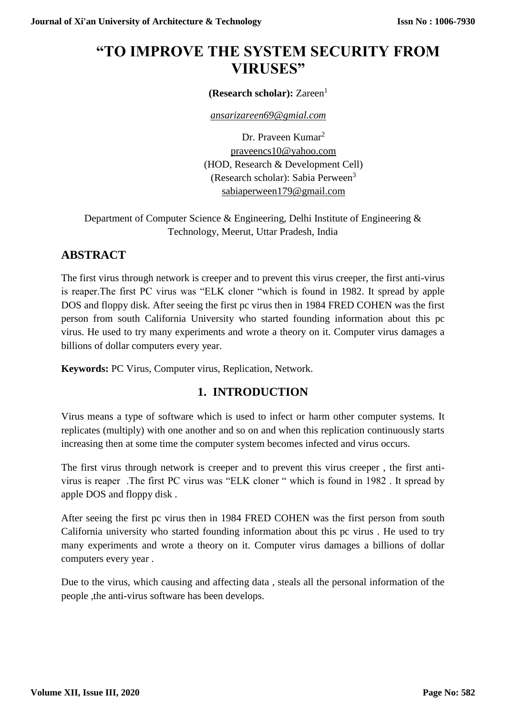# **"TO IMPROVE THE SYSTEM SECURITY FROM VIRUSES"**

**(Research scholar):** Zareen<sup>1</sup>

*[ansarizareen69@gmial.com](mailto:ansarizareen69@gmial.com)*

Dr. Praveen Kumar<sup>2</sup> [praveencs10@yahoo.com](mailto:praveencs10@yahoo.com) (HOD, Research & Development Cell) (Research scholar): Sabia Perween<sup>3</sup> [sabiaperween179@gmail.com](mailto:sabiaperween179@gmail.com)

Department of Computer Science & Engineering, Delhi Institute of Engineering & Technology, Meerut, Uttar Pradesh, India

## **ABSTRACT**

The first virus through network is creeper and to prevent this virus creeper, the first anti-virus is reaper.The first PC virus was "ELK cloner "which is found in 1982. It spread by apple DOS and floppy disk. After seeing the first pc virus then in 1984 FRED COHEN was the first person from south California University who started founding information about this pc virus. He used to try many experiments and wrote a theory on it. Computer virus damages a billions of dollar computers every year.

**Keywords:** PC Virus, Computer virus, Replication, Network.

# **1. INTRODUCTION**

Virus means a type of software which is used to infect or harm other computer systems. It replicates (multiply) with one another and so on and when this replication continuously starts increasing then at some time the computer system becomes infected and virus occurs.

The first virus through network is creeper and to prevent this virus creeper , the first antivirus is reaper .The first PC virus was "ELK cloner " which is found in 1982 . It spread by apple DOS and floppy disk .

After seeing the first pc virus then in 1984 FRED COHEN was the first person from south California university who started founding information about this pc virus . He used to try many experiments and wrote a theory on it. Computer virus damages a billions of dollar computers every year .

Due to the virus, which causing and affecting data , steals all the personal information of the people ,the anti-virus software has been develops.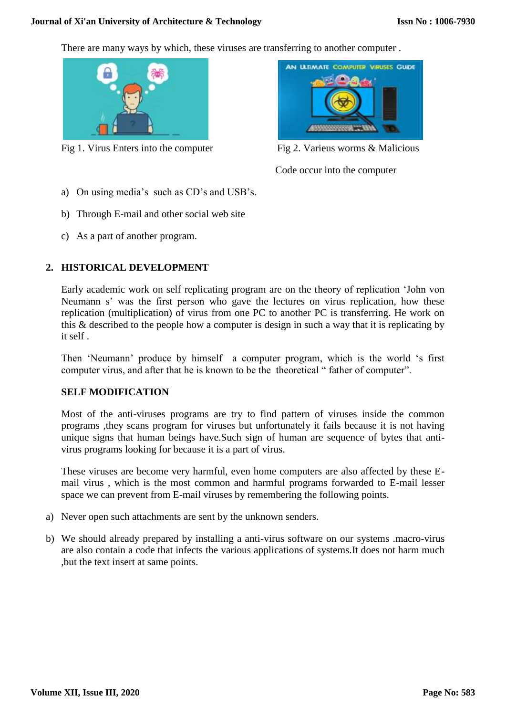#### **Journal of Xi'an University of Architecture & Technology**

There are many ways by which, these viruses are transferring to another computer .



Fig 1. Virus Enters into the computer Fig 2. Varieus worms & Malicious



Code occur into the computer

- a) On using media's such as CD's and USB's.
- b) Through E-mail and other social web site
- c) As a part of another program.

## **2. HISTORICAL DEVELOPMENT**

Early academic work on self replicating program are on the theory of replication 'John von Neumann s' was the first person who gave the lectures on virus replication, how these replication (multiplication) of virus from one PC to another PC is transferring. He work on this & described to the people how a computer is design in such a way that it is replicating by it self .

Then 'Neumann' produce by himself a computer program, which is the world 's first computer virus, and after that he is known to be the theoretical " father of computer".

#### **SELF MODIFICATION**

Most of the anti-viruses programs are try to find pattern of viruses inside the common programs ,they scans program for viruses but unfortunately it fails because it is not having unique signs that human beings have.Such sign of human are sequence of bytes that antivirus programs looking for because it is a part of virus.

These viruses are become very harmful, even home computers are also affected by these Email virus , which is the most common and harmful programs forwarded to E-mail lesser space we can prevent from E-mail viruses by remembering the following points.

- a) Never open such attachments are sent by the unknown senders.
- b) We should already prepared by installing a anti-virus software on our systems .macro-virus are also contain a code that infects the various applications of systems.It does not harm much ,but the text insert at same points.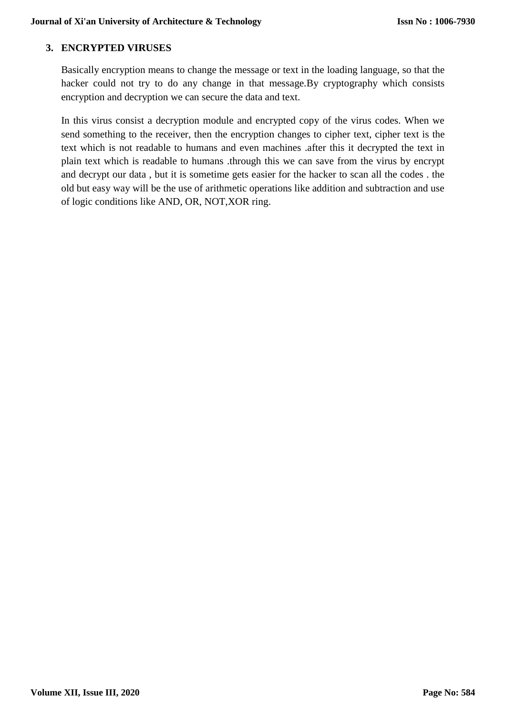#### **3. ENCRYPTED VIRUSES**

Basically encryption means to change the message or text in the loading language, so that the hacker could not try to do any change in that message.By cryptography which consists encryption and decryption we can secure the data and text.

In this virus consist a decryption module and encrypted copy of the virus codes. When we send something to the receiver, then the encryption changes to cipher text, cipher text is the text which is not readable to humans and even machines .after this it decrypted the text in plain text which is readable to humans .through this we can save from the virus by encrypt and decrypt our data , but it is sometime gets easier for the hacker to scan all the codes . the old but easy way will be the use of arithmetic operations like addition and subtraction and use of logic conditions like AND, OR, NOT,XOR ring.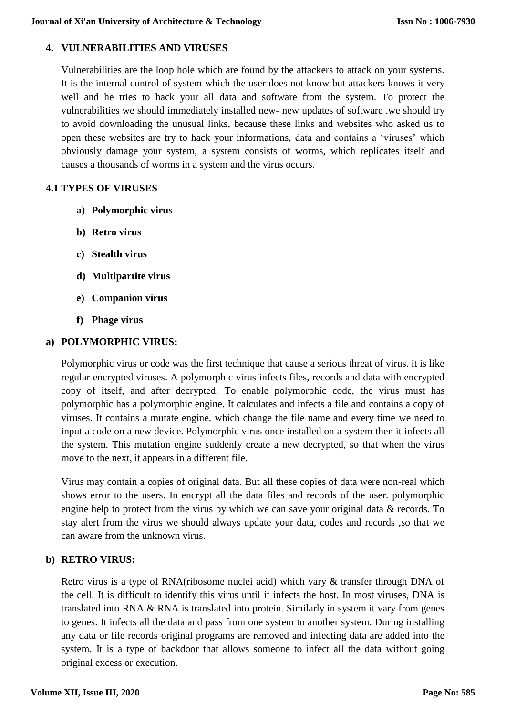#### **4. VULNERABILITIES AND VIRUSES**

Vulnerabilities are the loop hole which are found by the attackers to attack on your systems. It is the internal control of system which the user does not know but attackers knows it very well and he tries to hack your all data and software from the system. To protect the vulnerabilities we should immediately installed new- new updates of software .we should try to avoid downloading the unusual links, because these links and websites who asked us to open these websites are try to hack your informations, data and contains a 'viruses' which obviously damage your system, a system consists of worms, which replicates itself and causes a thousands of worms in a system and the virus occurs.

#### **4.1 TYPES OF VIRUSES**

- **a) Polymorphic virus**
- **b) Retro virus**
- **c) Stealth virus**
- **d) Multipartite virus**
- **e) Companion virus**
- **f) Phage virus**

#### **a) POLYMORPHIC VIRUS:**

Polymorphic virus or code was the first technique that cause a serious threat of virus. it is like regular encrypted viruses. A polymorphic virus infects files, records and data with encrypted copy of itself, and after decrypted. To enable polymorphic code, the virus must has polymorphic has a polymorphic engine. It calculates and infects a file and contains a copy of viruses. It contains a mutate engine, which change the file name and every time we need to input a code on a new device. Polymorphic virus once installed on a system then it infects all the system. This mutation engine suddenly create a new decrypted, so that when the virus move to the next, it appears in a different file.

Virus may contain a copies of original data. But all these copies of data were non-real which shows error to the users. In encrypt all the data files and records of the user. polymorphic engine help to protect from the virus by which we can save your original data & records. To stay alert from the virus we should always update your data, codes and records ,so that we can aware from the unknown virus.

## **b) RETRO VIRUS:**

Retro virus is a type of RNA(ribosome nuclei acid) which vary & transfer through DNA of the cell. It is difficult to identify this virus until it infects the host. In most viruses, DNA is translated into RNA & RNA is translated into protein. Similarly in system it vary from genes to genes. It infects all the data and pass from one system to another system. During installing any data or file records original programs are removed and infecting data are added into the system. It is a type of backdoor that allows someone to infect all the data without going original excess or execution.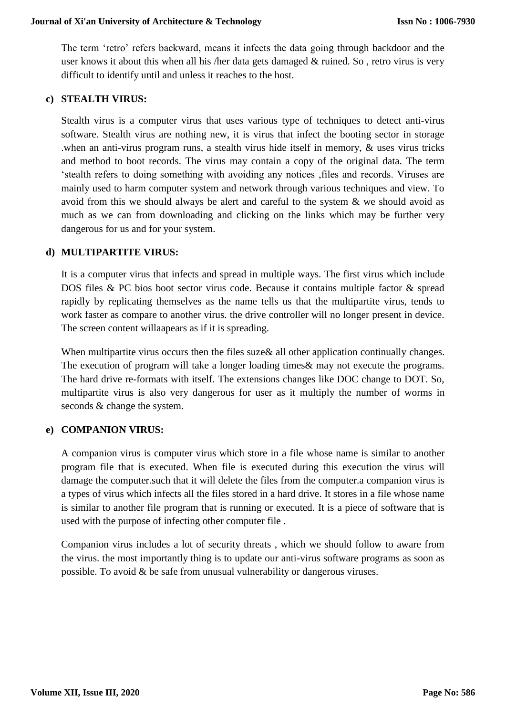The term 'retro' refers backward, means it infects the data going through backdoor and the user knows it about this when all his /her data gets damaged & ruined. So , retro virus is very difficult to identify until and unless it reaches to the host.

#### **c) STEALTH VIRUS:**

Stealth virus is a computer virus that uses various type of techniques to detect anti-virus software. Stealth virus are nothing new, it is virus that infect the booting sector in storage .when an anti-virus program runs, a stealth virus hide itself in memory, & uses virus tricks and method to boot records. The virus may contain a copy of the original data. The term 'stealth refers to doing something with avoiding any notices ,files and records. Viruses are mainly used to harm computer system and network through various techniques and view. To avoid from this we should always be alert and careful to the system & we should avoid as much as we can from downloading and clicking on the links which may be further very dangerous for us and for your system.

#### **d) MULTIPARTITE VIRUS:**

It is a computer virus that infects and spread in multiple ways. The first virus which include DOS files & PC bios boot sector virus code. Because it contains multiple factor & spread rapidly by replicating themselves as the name tells us that the multipartite virus, tends to work faster as compare to another virus. the drive controller will no longer present in device. The screen content willaapears as if it is spreading.

When multipartite virus occurs then the files suze & all other application continually changes. The execution of program will take a longer loading times& may not execute the programs. The hard drive re-formats with itself. The extensions changes like DOC change to DOT. So, multipartite virus is also very dangerous for user as it multiply the number of worms in seconds & change the system.

#### **e) COMPANION VIRUS:**

A companion virus is computer virus which store in a file whose name is similar to another program file that is executed. When file is executed during this execution the virus will damage the computer.such that it will delete the files from the computer.a companion virus is a types of virus which infects all the files stored in a hard drive. It stores in a file whose name is similar to another file program that is running or executed. It is a piece of software that is used with the purpose of infecting other computer file .

Companion virus includes a lot of security threats , which we should follow to aware from the virus. the most importantly thing is to update our anti-virus software programs as soon as possible. To avoid & be safe from unusual vulnerability or dangerous viruses.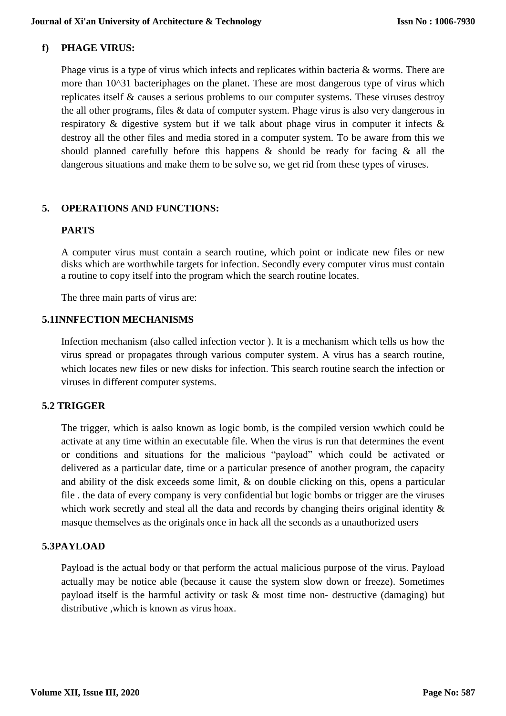## **f) PHAGE VIRUS:**

Phage virus is a type of virus which infects and replicates within bacteria & worms. There are more than 10^31 bacteriphages on the planet. These are most dangerous type of virus which replicates itself & causes a serious problems to our computer systems. These viruses destroy the all other programs, files & data of computer system. Phage virus is also very dangerous in respiratory & digestive system but if we talk about phage virus in computer it infects & destroy all the other files and media stored in a computer system. To be aware from this we should planned carefully before this happens & should be ready for facing & all the dangerous situations and make them to be solve so, we get rid from these types of viruses.

## **5. OPERATIONS AND FUNCTIONS:**

## **PARTS**

A computer virus must contain a search routine, which point or indicate new files or new disks which are worthwhile targets for infection. Secondly every computer virus must contain a routine to copy itself into the program which the search routine locates.

The three main parts of virus are:

## **5.1INNFECTION MECHANISMS**

Infection mechanism (also called infection vector ). It is a mechanism which tells us how the virus spread or propagates through various computer system. A virus has a search routine, which locates new files or new disks for infection. This search routine search the infection or viruses in different computer systems.

## **5.2 TRIGGER**

The trigger, which is aalso known as logic bomb, is the compiled version wwhich could be activate at any time within an executable file. When the virus is run that determines the event or conditions and situations for the malicious "payload" which could be activated or delivered as a particular date, time or a particular presence of another program, the capacity and ability of the disk exceeds some limit, & on double clicking on this, opens a particular file . the data of every company is very confidential but logic bombs or trigger are the viruses which work secretly and steal all the data and records by changing theirs original identity  $\&$ masque themselves as the originals once in hack all the seconds as a unauthorized users

## **5.3PAYLOAD**

Payload is the actual body or that perform the actual malicious purpose of the virus. Payload actually may be notice able (because it cause the system slow down or freeze). Sometimes payload itself is the harmful activity or task & most time non- destructive (damaging) but distributive ,which is known as virus hoax.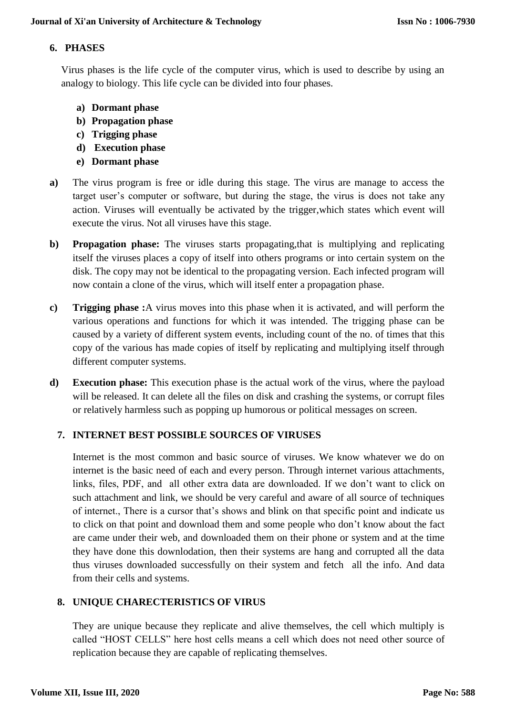#### **6. PHASES**

Virus phases is the life cycle of the computer virus, which is used to describe by using an analogy to biology. This life cycle can be divided into four phases.

- **a) Dormant phase**
- **b) Propagation phase**
- **c) Trigging phase**
- **d) Execution phase**
- **e) Dormant phase**
- **a)** The virus program is free or idle during this stage. The virus are manage to access the target user's computer or software, but during the stage, the virus is does not take any action. Viruses will eventually be activated by the trigger,which states which event will execute the virus. Not all viruses have this stage.
- **b) Propagation phase:** The viruses starts propagating,that is multiplying and replicating itself the viruses places a copy of itself into others programs or into certain system on the disk. The copy may not be identical to the propagating version. Each infected program will now contain a clone of the virus, which will itself enter a propagation phase.
- **c) Trigging phase :**A virus moves into this phase when it is activated, and will perform the various operations and functions for which it was intended. The trigging phase can be caused by a variety of different system events, including count of the no. of times that this copy of the various has made copies of itself by replicating and multiplying itself through different computer systems.
- **d) Execution phase:** This execution phase is the actual work of the virus, where the payload will be released. It can delete all the files on disk and crashing the systems, or corrupt files or relatively harmless such as popping up humorous or political messages on screen.

## **7. INTERNET BEST POSSIBLE SOURCES OF VIRUSES**

Internet is the most common and basic source of viruses. We know whatever we do on internet is the basic need of each and every person. Through internet various attachments, links, files, PDF, and all other extra data are downloaded. If we don't want to click on such attachment and link, we should be very careful and aware of all source of techniques of internet., There is a cursor that's shows and blink on that specific point and indicate us to click on that point and download them and some people who don't know about the fact are came under their web, and downloaded them on their phone or system and at the time they have done this downlodation, then their systems are hang and corrupted all the data thus viruses downloaded successfully on their system and fetch all the info. And data from their cells and systems.

## **8. UNIQUE CHARECTERISTICS OF VIRUS**

They are unique because they replicate and alive themselves, the cell which multiply is called "HOST CELLS" here host cells means a cell which does not need other source of replication because they are capable of replicating themselves.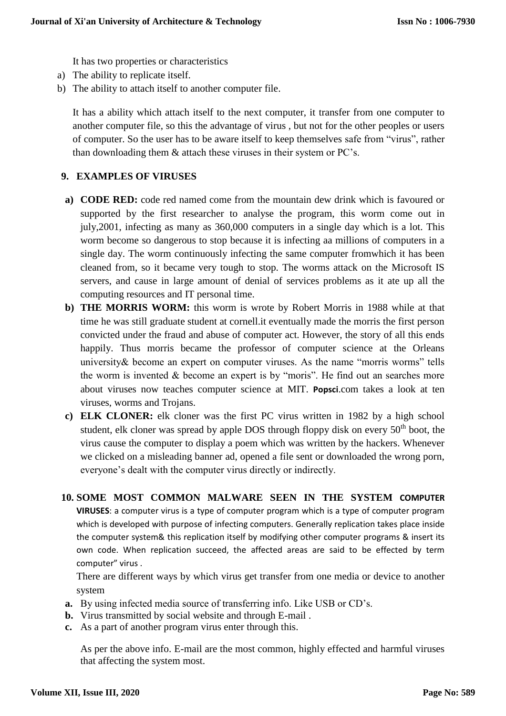It has two properties or characteristics

- a) The ability to replicate itself.
- b) The ability to attach itself to another computer file.

It has a ability which attach itself to the next computer, it transfer from one computer to another computer file, so this the advantage of virus , but not for the other peoples or users of computer. So the user has to be aware itself to keep themselves safe from "virus", rather than downloading them & attach these viruses in their system or PC's.

#### **9. EXAMPLES OF VIRUSES**

- **a) CODE RED:** code red named come from the mountain dew drink which is favoured or supported by the first researcher to analyse the program, this worm come out in july,2001, infecting as many as 360,000 computers in a single day which is a lot. This worm become so dangerous to stop because it is infecting aa millions of computers in a single day. The worm continuously infecting the same computer fromwhich it has been cleaned from, so it became very tough to stop. The worms attack on the Microsoft IS servers, and cause in large amount of denial of services problems as it ate up all the computing resources and IT personal time.
- **b) THE MORRIS WORM:** this worm is wrote by Robert Morris in 1988 while at that time he was still graduate student at cornell.it eventually made the morris the first person convicted under the fraud and abuse of computer act. However, the story of all this ends happily. Thus morris became the professor of computer science at the Orleans university& become an expert on computer viruses. As the name "morris worms" tells the worm is invented & become an expert is by "moris". He find out an searches more about viruses now teaches computer science at MIT. **Popsci**.com takes a look at ten viruses, worms and Trojans.
- **c) ELK CLONER:** elk cloner was the first PC virus written in 1982 by a high school student, elk cloner was spread by apple DOS through floppy disk on every  $50<sup>th</sup>$  boot, the virus cause the computer to display a poem which was written by the hackers. Whenever we clicked on a misleading banner ad, opened a file sent or downloaded the wrong porn, everyone's dealt with the computer virus directly or indirectly.
- **10. SOME MOST COMMON MALWARE SEEN IN THE SYSTEM COMPUTER VIRUSES**: a computer virus is a type of computer program which is a type of computer program which is developed with purpose of infecting computers. Generally replication takes place inside the computer system& this replication itself by modifying other computer programs & insert its own code. When replication succeed, the affected areas are said to be effected by term computer" virus .

There are different ways by which virus get transfer from one media or device to another system

- **a.** By using infected media source of transferring info. Like USB or CD's.
- **b.** Virus transmitted by social website and through E-mail .
- **c.** As a part of another program virus enter through this.

As per the above info. E-mail are the most common, highly effected and harmful viruses that affecting the system most.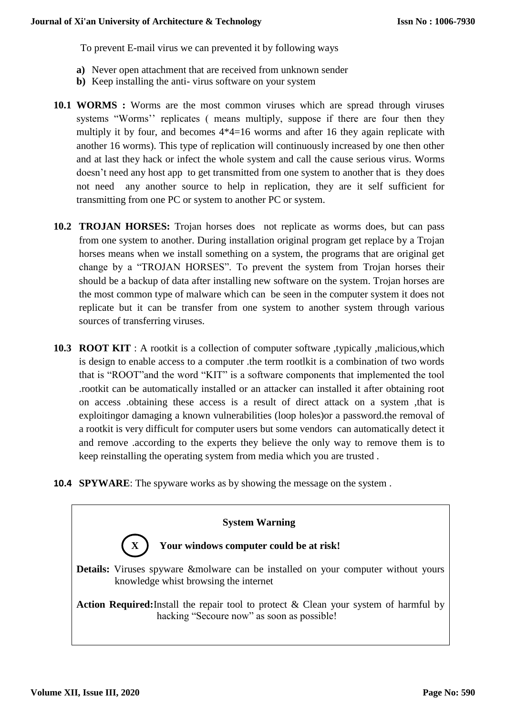To prevent E-mail virus we can prevented it by following ways

- **a)** Never open attachment that are received from unknown sender
- **b)** Keep installing the anti- virus software on your system
- **10.1 WORMS :** Worms are the most common viruses which are spread through viruses systems "Worms'' replicates ( means multiply, suppose if there are four then they multiply it by four, and becomes 4\*4=16 worms and after 16 they again replicate with another 16 worms). This type of replication will continuously increased by one then other and at last they hack or infect the whole system and call the cause serious virus. Worms doesn't need any host app to get transmitted from one system to another that is they does not need any another source to help in replication, they are it self sufficient for transmitting from one PC or system to another PC or system.
- **10.2 TROJAN HORSES:** Trojan horses does not replicate as worms does, but can pass from one system to another. During installation original program get replace by a Trojan horses means when we install something on a system, the programs that are original get change by a "TROJAN HORSES". To prevent the system from Trojan horses their should be a backup of data after installing new software on the system. Trojan horses are the most common type of malware which can be seen in the computer system it does not replicate but it can be transfer from one system to another system through various sources of transferring viruses.
- **10.3 ROOT KIT** : A rootkit is a collection of computer software ,typically ,malicious,which is design to enable access to a computer .the term rootlkit is a combination of two words that is "ROOT"and the word "KIT" is a software components that implemented the tool .rootkit can be automatically installed or an attacker can installed it after obtaining root on access .obtaining these access is a result of direct attack on a system ,that is exploitingor damaging a known vulnerabilities (loop holes)or a password.the removal of a rootkit is very difficult for computer users but some vendors can automatically detect it and remove .according to the experts they believe the only way to remove them is to keep reinstalling the operating system from media which you are trusted .
- **10.4 SPYWARE**: The spyware works as by showing the message on the system .

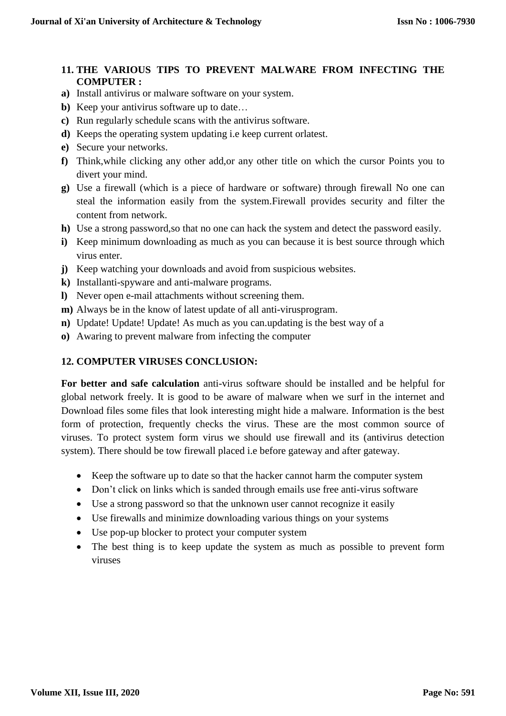## **11. THE VARIOUS TIPS TO PREVENT MALWARE FROM INFECTING THE COMPUTER :**

- **a)** Install antivirus or malware software on your system.
- **b**) Keep your antivirus software up to date...
- **c)** Run regularly schedule scans with the antivirus software.
- **d)** Keeps the operating system updating i.e keep current orlatest.
- **e)** Secure your networks.
- **f)** Think,while clicking any other add,or any other title on which the cursor Points you to divert your mind.
- **g)** Use a firewall (which is a piece of hardware or software) through firewall No one can steal the information easily from the system.Firewall provides security and filter the content from network.
- **h)** Use a strong password,so that no one can hack the system and detect the password easily.
- **i)** Keep minimum downloading as much as you can because it is best source through which virus enter.
- **j)** Keep watching your downloads and avoid from suspicious websites.
- **k)** Installanti-spyware and anti-malware programs.
- **l)** Never open e-mail attachments without screening them.
- **m)** Always be in the know of latest update of all anti-virusprogram.
- **n)** Update! Update! Update! As much as you can.updating is the best way of a
- **o)** Awaring to prevent malware from infecting the computer

#### **12. COMPUTER VIRUSES CONCLUSION:**

**For better and safe calculation** anti-virus software should be installed and be helpful for global network freely. It is good to be aware of malware when we surf in the internet and Download files some files that look interesting might hide a malware. Information is the best form of protection, frequently checks the virus. These are the most common source of viruses. To protect system form virus we should use firewall and its (antivirus detection system). There should be tow firewall placed i.e before gateway and after gateway.

- Keep the software up to date so that the hacker cannot harm the computer system
- Don't click on links which is sanded through emails use free anti-virus software
- Use a strong password so that the unknown user cannot recognize it easily
- Use firewalls and minimize downloading various things on your systems
- Use pop-up blocker to protect your computer system
- The best thing is to keep update the system as much as possible to prevent form viruses